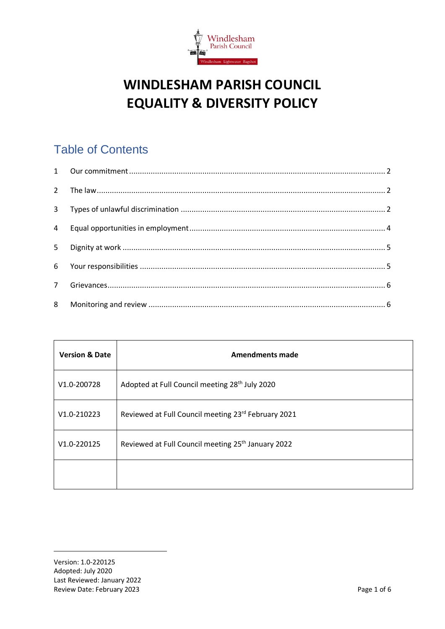

# **WINDLESHAM PARISH COUNCIL EQUALITY & DIVERSITY POLICY**

## Table of Contents

| $2^{\circ}$  |  |
|--------------|--|
| $\mathbf{3}$ |  |
| 4            |  |
| 5            |  |
| 6            |  |
| $7^{\circ}$  |  |
| 8            |  |

| <b>Version &amp; Date</b> | <b>Amendments made</b>                                         |
|---------------------------|----------------------------------------------------------------|
| V1.0-200728               | Adopted at Full Council meeting 28 <sup>th</sup> July 2020     |
| $V1.0 - 210223$           | Reviewed at Full Council meeting 23rd February 2021            |
| V1.0-220125               | Reviewed at Full Council meeting 25 <sup>th</sup> January 2022 |
|                           |                                                                |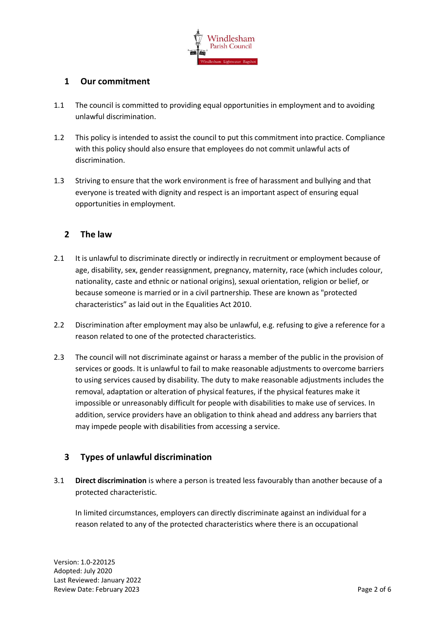

## <span id="page-1-0"></span>**1 Our commitment**

- 1.1 The council is committed to providing equal opportunities in employment and to avoiding unlawful discrimination.
- 1.2 This policy is intended to assist the council to put this commitment into practice. Compliance with this policy should also ensure that employees do not commit unlawful acts of discrimination.
- 1.3 Striving to ensure that the work environment is free of harassment and bullying and that everyone is treated with dignity and respect is an important aspect of ensuring equal opportunities in employment.

## <span id="page-1-1"></span>**2 The law**

- 2.1 It is unlawful to discriminate directly or indirectly in recruitment or employment because of age, disability, sex, gender reassignment, pregnancy, maternity, race (which includes colour, nationality, caste and ethnic or national origins), sexual orientation, religion or belief, or because someone is married or in a civil partnership. These are known as "protected characteristics" as laid out in the Equalities Act 2010.
- 2.2 Discrimination after employment may also be unlawful, e.g. refusing to give a reference for a reason related to one of the protected characteristics.
- 2.3 The council will not discriminate against or harass a member of the public in the provision of services or goods. It is unlawful to fail to make reasonable adjustments to overcome barriers to using services caused by disability. The duty to make reasonable adjustments includes the removal, adaptation or alteration of physical features, if the physical features make it impossible or unreasonably difficult for people with disabilities to make use of services. In addition, service providers have an obligation to think ahead and address any barriers that may impede people with disabilities from accessing a service.

## <span id="page-1-2"></span>**3 Types of unlawful discrimination**

3.1 **Direct discrimination** is where a person is treated less favourably than another because of a protected characteristic.

In limited circumstances, employers can directly discriminate against an individual for a reason related to any of the protected characteristics where there is an occupational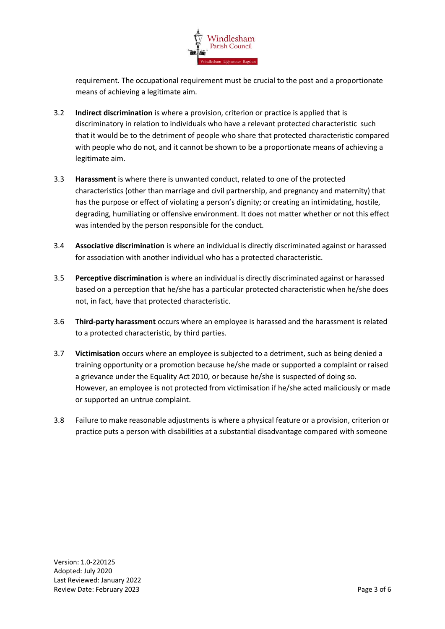

requirement. The occupational requirement must be crucial to the post and a proportionate means of achieving a legitimate aim.

- 3.2 **Indirect discrimination** is where a provision, criterion or practice is applied that is discriminatory in relation to individuals who have a relevant protected characteristic such that it would be to the detriment of people who share that protected characteristic compared with people who do not, and it cannot be shown to be a proportionate means of achieving a legitimate aim.
- 3.3 **Harassment** is where there is unwanted conduct, related to one of the protected characteristics (other than marriage and civil partnership, and pregnancy and maternity) that has the purpose or effect of violating a person's dignity; or creating an intimidating, hostile, degrading, humiliating or offensive environment. It does not matter whether or not this effect was intended by the person responsible for the conduct.
- 3.4 **Associative discrimination** is where an individual is directly discriminated against or harassed for association with another individual who has a protected characteristic.
- 3.5 **Perceptive discrimination** is where an individual is directly discriminated against or harassed based on a perception that he/she has a particular protected characteristic when he/she does not, in fact, have that protected characteristic.
- 3.6 **Third-party harassment** occurs where an employee is harassed and the harassment is related to a protected characteristic, by third parties.
- 3.7 **Victimisation** occurs where an employee is subjected to a detriment, such as being denied a training opportunity or a promotion because he/she made or supported a complaint or raised a grievance under the Equality Act 2010, or because he/she is suspected of doing so. However, an employee is not protected from victimisation if he/she acted maliciously or made or supported an untrue complaint.
- 3.8 Failure to make reasonable adjustments is where a physical feature or a provision, criterion or practice puts a person with disabilities at a substantial disadvantage compared with someone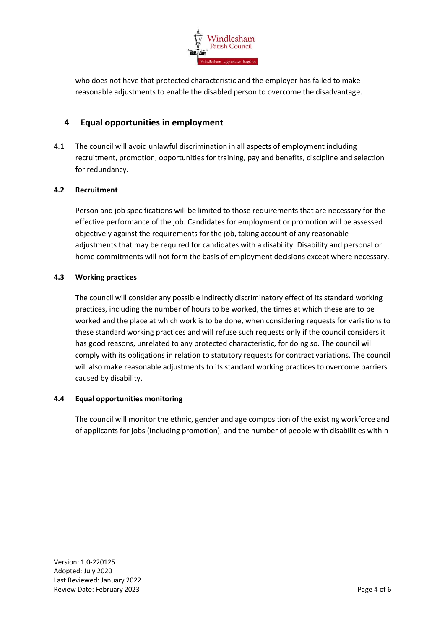

who does not have that protected characteristic and the employer has failed to make reasonable adjustments to enable the disabled person to overcome the disadvantage.

## <span id="page-3-0"></span>**4 Equal opportunities in employment**

4.1 The council will avoid unlawful discrimination in all aspects of employment including recruitment, promotion, opportunities for training, pay and benefits, discipline and selection for redundancy.

#### **4.2 Recruitment**

Person and job specifications will be limited to those requirements that are necessary for the effective performance of the job. Candidates for employment or promotion will be assessed objectively against the requirements for the job, taking account of any reasonable adjustments that may be required for candidates with a disability. Disability and personal or home commitments will not form the basis of employment decisions except where necessary.

#### **4.3 Working practices**

The council will consider any possible indirectly discriminatory effect of its standard working practices, including the number of hours to be worked, the times at which these are to be worked and the place at which work is to be done, when considering requests for variations to these standard working practices and will refuse such requests only if the council considers it has good reasons, unrelated to any protected characteristic, for doing so. The council will comply with its obligations in relation to statutory requests for contract variations. The council will also make reasonable adjustments to its standard working practices to overcome barriers caused by disability.

#### **4.4 Equal opportunities monitoring**

The council will monitor the ethnic, gender and age composition of the existing workforce and of applicants for jobs (including promotion), and the number of people with disabilities within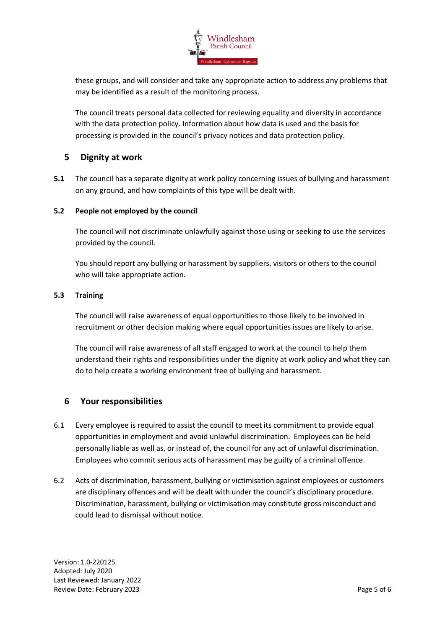

these groups, and will consider and take any appropriate action to address any problems that may be identified as a result of the monitoring process.

The council treats personal data collected for reviewing equality and diversity in accordance with the data protection policy. Information about how data is used and the basis for processing is provided in the council's privacy notices and data protection policy.

## <span id="page-4-0"></span>**5 Dignity at work**

**5.1** The council has a separate dignity at work policy concerning issues of bullying and harassment on any ground, and how complaints of this type will be dealt with.

#### **5.2 People not employed by the council**

The council will not discriminate unlawfully against those using or seeking to use the services provided by the council.

You should report any bullying or harassment by suppliers, visitors or others to the council who will take appropriate action.

#### **5.3 Training**

The council will raise awareness of equal opportunities to those likely to be involved in recruitment or other decision making where equal opportunities issues are likely to arise.

The council will raise awareness of all staff engaged to work at the council to help them understand their rights and responsibilities under the dignity at work policy and what they can do to help create a working environment free of bullying and harassment.

## <span id="page-4-1"></span>**6 Your responsibilities**

- 6.1 Every employee is required to assist the council to meet its commitment to provide equal opportunities in employment and avoid unlawful discrimination. Employees can be held personally liable as well as, or instead of, the council for any act of unlawful discrimination. Employees who commit serious acts of harassment may be guilty of a criminal offence.
- 6.2 Acts of discrimination, harassment, bullying or victimisation against employees or customers are disciplinary offences and will be dealt with under the council's disciplinary procedure. Discrimination, harassment, bullying or victimisation may constitute gross misconduct and could lead to dismissal without notice.